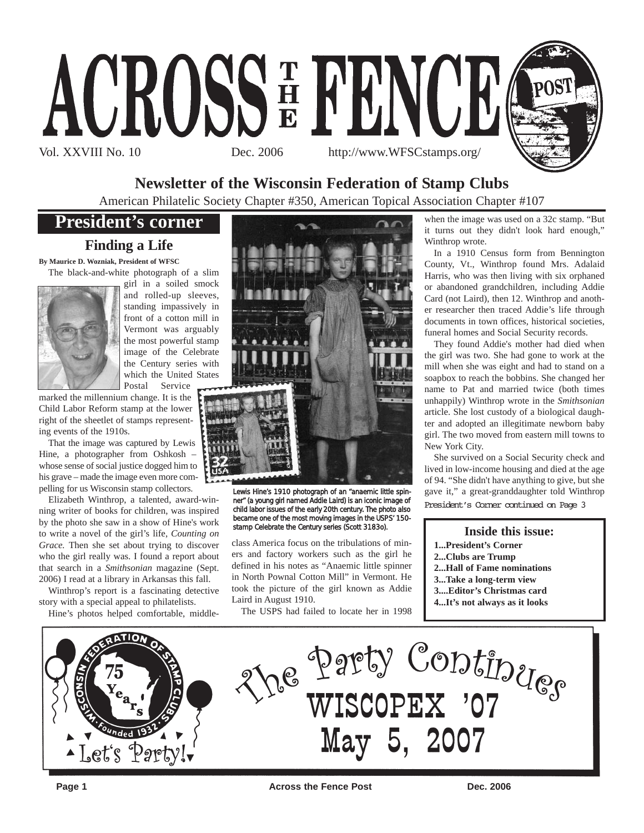

## **Newsletter of the Wisconsin Federation of Stamp Clubs**

American Philatelic Society Chapter #350, American Topical Association Chapter #107

## **President's corner**

### **Finding a Life**

**By Maurice D. Wozniak, President of WFSC** The black-and-white photograph of a slim



girl in a soiled smock and rolled-up sleeves, standing impassively in front of a cotton mill in Vermont was arguably the most powerful stamp image of the Celebrate the Century series with which the United States Postal Service

marked the millennium change. It is the Child Labor Reform stamp at the lower right of the sheetlet of stamps representing events of the 1910s.

That the image was captured by Lewis Hine, a photographer from Oshkosh – whose sense of social justice dogged him to his grave – made the image even more compelling for us Wisconsin stamp collectors.

Elizabeth Winthrop, a talented, award-winning writer of books for children, was inspired by the photo she saw in a show of Hine's work to write a novel of the girl's life, *Counting on Grace.* Then she set about trying to discover who the girl really was. I found a report about that search in a *Smithsonian* magazine (Sept. 2006) I read at a library in Arkansas this fall.

Winthrop's report is a fascinating detective story with a special appeal to philatelists.

Hine's photos helped comfortable, middle-



Lewis Hine's 1910 photograph of an "anaemic little spinner" (a young girl named Addie Laird) is an iconic image of child labor issues of the early 20th century. The photo also became one of the most moving images in the USPS' 150 stamp Celebrate the Century series (Scott 3183o).

class America focus on the tribulations of miners and factory workers such as the girl he defined in his notes as "Anaemic little spinner in North Pownal Cotton Mill" in Vermont. He took the picture of the girl known as Addie Laird in August 1910.

The USPS had failed to locate her in 1998

when the image was used on a 32c stamp. "But it turns out they didn't look hard enough," Winthrop wrote.

In a 1910 Census form from Bennington County, Vt., Winthrop found Mrs. Adalaid Harris, who was then living with six orphaned or abandoned grandchildren, including Addie Card (not Laird), then 12. Winthrop and another researcher then traced Addie's life through documents in town offices, historical societies, funeral homes and Social Security records.

They found Addie's mother had died when the girl was two. She had gone to work at the mill when she was eight and had to stand on a soapbox to reach the bobbins. She changed her name to Pat and married twice (both times unhappily) Winthrop wrote in the *Smithsonian* article. She lost custody of a biological daughter and adopted an illegitimate newborn baby girl. The two moved from eastern mill towns to New York City.

She survived on a Social Security check and lived in low-income housing and died at the age of 94. "She didn't have anything to give, but she gave it," a great-granddaughter told Winthrop President's Corner continued on Page 3

#### **Inside this issue:**

- **1...President's Corner**
- **2...Clubs are Trump**
- **2...Hall of Fame nominations**
- **3...Take a long-term view**
- **3....Editor's Christmas card**
- **4...It's not always as it looks**

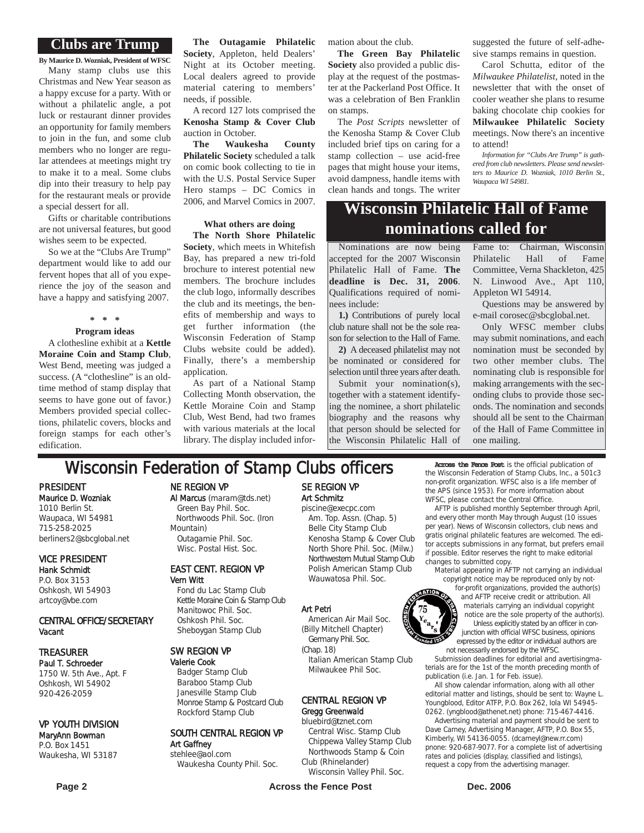#### **Clubs are Trump**

**By Maurice D. Wozniak, President of WFSC** Many stamp clubs use this Christmas and New Year season as a happy excuse for a party. With or without a philatelic angle, a pot luck or restaurant dinner provides an opportunity for family members to join in the fun, and some club members who no longer are regular attendees at meetings might try to make it to a meal. Some clubs dip into their treasury to help pay for the restaurant meals or provide a special dessert for all.

Gifts or charitable contributions are not universal features, but good wishes seem to be expected.

So we at the "Clubs Are Trump" department would like to add our fervent hopes that all of you experience the joy of the season and have a happy and satisfying 2007.

### **\* \* \***

**Program ideas**

A clothesline exhibit at a **Kettle Moraine Coin and Stamp Club**, West Bend, meeting was judged a success. (A "clothesline" is an oldtime method of stamp display that seems to have gone out of favor.) Members provided special collections, philatelic covers, blocks and foreign stamps for each other's edification.

**The Outagamie Philatelic Society**, Appleton, held Dealers' Night at its October meeting. Local dealers agreed to provide material catering to members' needs, if possible.

A record 127 lots comprised the **Kenosha Stamp & Cover Club** auction in October.

**The Waukesha County Philatelic Society** scheduled a talk on comic book collecting to tie in with the U.S. Postal Service Super Hero stamps – DC Comics in 2006, and Marvel Comics in 2007.

#### **What others are doing The North Shore Philatelic**

**Society**, which meets in Whitefish Bay, has prepared a new tri-fold brochure to interest potential new members. The brochure includes the club logo, informally describes the club and its meetings, the benefits of membership and ways to get further information (the Wisconsin Federation of Stamp Clubs website could be added). Finally, there's a membership application.

As part of a National Stamp Collecting Month observation, the Kettle Moraine Coin and Stamp Club, West Bend, had two frames with various materials at the local library. The display included information about the club.

**The Green Bay Philatelic Society** also provided a public display at the request of the postmaster at the Packerland Post Office. It was a celebration of Ben Franklin on stamps.

The *Post Scripts* newsletter of the Kenosha Stamp & Cover Club included brief tips on caring for a stamp collection – use acid-free pages that might house your items, avoid dampness, handle items with clean hands and tongs. The writer suggested the future of self-adhesive stamps remains in question.

Carol Schutta, editor of the *Milwaukee Philatelist*, noted in the newsletter that with the onset of cooler weather she plans to resume baking chocolate chip cookies for **Milwaukee Philatelic Society** meetings. Now there's an incentive to attend!

*Information for "Clubs Are Trump" is gathered from club newsletters. Please send newsletters to Maurice D. Wozniak, 1010 Berlin St., Waupaca WI 54981.*

## **Wisconsin Philatelic Hall of Fame nominations called for**

Nominations are now being accepted for the 2007 Wisconsin Philatelic Hall of Fame. **The deadline is Dec. 31, 2006**. Qualifications required of nominees include:

**1.)** Contributions of purely local club nature shall not be the sole reason for selection to the Hall of Fame. **2)** A deceased philatelist may not be nominated or considered for

selection until three years after death. Submit your nomination(s), together with a statement identifying the nominee, a short philatelic biography and the reasons why that person should be selected for

the Wisconsin Philatelic Hall of

Fame to: Chairman, Wisconsin Philatelic Hall of Fame Committee, Verna Shackleton, 425 N. Linwood Ave., Apt 110, Appleton WI 54914.

Questions may be answered by e-mail corosec@sbcglobal.net.

Only WFSC member clubs may submit nominations, and each nomination must be seconded by two other member clubs. The nominating club is responsible for making arrangements with the seconding clubs to provide those seconds. The nomination and seconds should all be sent to the Chairman of the Hall of Fame Committee in one mailing.

## **Wisconsin Federation of Stamp Clubs officers** Across the Fence Post is the official publication of

PRESIDENT Maurice D. Wozniak 1010 Berlin St. Waupaca, WI 54981 715-258-2025 berliners2@sbcglobal.net

#### VICE PRESIDENT Hank Schmidt

P.O. Box 3153 Oshkosh, WI 54903 artcoy@vbe.com

#### CENTRAL OFFICE/SECRETARY Vacant

### TREASURER

Paul T. Schroeder 1750 W. 5th Ave., Apt. F Oshkosh, WI 54902 920-426-2059

#### VP YOUTH DIVISION

#### MaryAnn Bowman P.O. Box 1451 Waukesha, WI 53187

NE REGION VP

#### Al Marcus (maram@tds.net)

Green Bay Phil. Soc. Northwoods Phil. Soc. (Iron Mountain) Outagamie Phil. Soc. Wisc. Postal Hist. Soc.

#### EAST CENT. REGION VP Vern Witt

Fond du Lac Stamp Club Kettle Moraine Coin & Stamp Club Manitowoc Phil. Soc. Oshkosh Phil. Soc. Sheboygan Stamp Club

#### SW REGION VP

Valerie Cook Badger Stamp Club Baraboo Stamp Club Janesville Stamp Club Monroe Stamp & Postcard Club Rockford Stamp Club

#### SOUTH CENTRAL REGION VP Art Gaffney stehlee@aol.com

Waukesha County Phil. Soc.

#### SE REGION VP Art Schmitz piscine@execpc.com

Am. Top. Assn. (Chap. 5) Belle City Stamp Club Kenosha Stamp & Cover Club North Shore Phil. Soc. (Milw.) Northwestern Mutual Stamp Club Polish American Stamp Club Wauwatosa Phil. Soc.

#### Art Petri

American Air Mail Soc. (Billy Mitchell Chapter) Germany Phil. Soc.

(Chap. 18) Italian American Stamp Club Milwaukee Phil Soc.

#### CENTRAL REGION VP Gregg Greenwald

#### bluebird@tznet.com

Central Wisc. Stamp Club Chippewa Valley Stamp Club Northwoods Stamp & Coin Club (Rhinelander)

Wisconsin Valley Phil. Soc.

**Page 2 Conserverse Exercise Servers Across the Fence Post Conserverse Conserverse Dec. 2006** 

the Wisconsin Federation of Stamp Clubs, Inc., a 501c3 non-profit organization. WFSC also is a life member of the APS (since 1953). For more information about WFSC, please contact the Central Office.

AFTP is published monthly September through April, and every other month May through August (10 issues per year). News of Wisconsin collectors, club news and gratis original philatelic features are welcomed. The editor accepts submissions in any format, but prefers email if possible. Editor reserves the right to make editorial changes to submitted copy.

material appearing in AFTP not carrying an individual copyright notice may be reproduced only by not-

for-profit organizations, provided the author(s) and AFTP receive credit or attribution. All materials carrying an individual copyright notice are the sole property of the author(s). Unless explicitly stated by an officer in conjunction with official WFSC business, opinions expressed by the editor or individual authors are not necessarily endorsed by the WFSC.

Submission deadlines for editorial and avertisingmaterials are for the 1st of the month preceding month of publication (i.e. Jan. 1 for Feb. issue).

All show calendar information, along with all other editorial matter and listings, should be sent to: Wayne L. Youngblood, Editor ATFP, P.O. Box 262, Iola WI 54945- 0262. (yngblood@athenet.net) phone: 715-467-4416.

Advertising material and payment should be sent to Dave Carney, Advertising Manager, AFTP, P.O. Box 55, Kimberly, WI 54136-0055. (dcarneyl@new.rr.com) pnone: 920-687-9077. For a complete list of advertising rates and policies (display, classified and listings), request a copy from the advertising manager.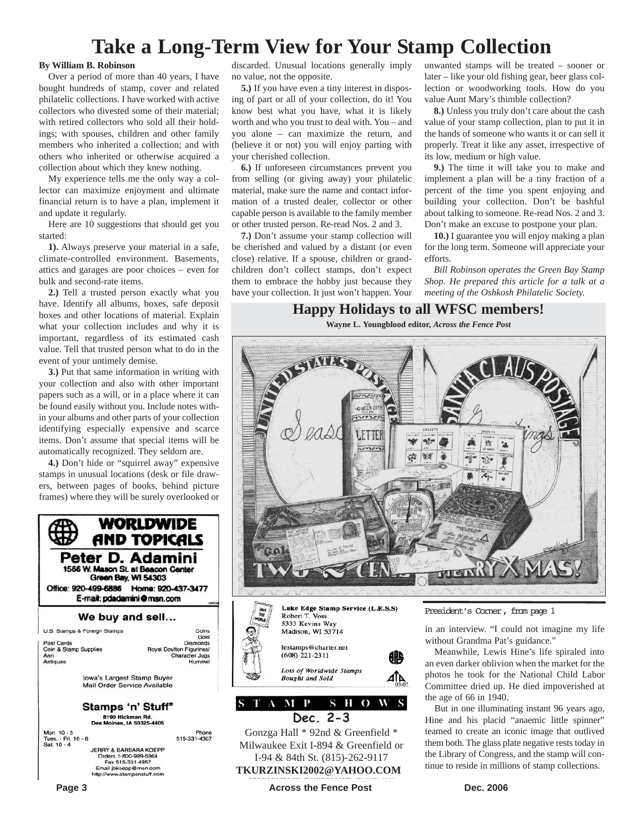## **Take a Long-Term View for Your Stamp Collection**

#### **By William B. Robinson**

Over a period of more than 40 years, I have bought hundreds of stamp, cover and related philatelic collections. I have worked with active collectors who divested some of their material; with retired collectors who sold all their holdings; with spouses, children and other family members who inherited a collection; and with others who inherited or otherwise acquired a collection about which they knew nothing.

My experience tells me the only way a collector can maximize enjoyment and ultimate financial return is to have a plan, implement it and update it regularly.

Here are 10 suggestions that should get you started:

**1).** Always preserve your material in a safe, climate-controlled environment. Basements, attics and garages are poor choices – even for bulk and second-rate items.

**2.)** Tell a trusted person exactly what you have. Identify all albums, boxes, safe deposit boxes and other locations of material. Explain what your collection includes and why it is important, regardless of its estimated cash value. Tell that trusted person what to do in the event of your untimely demise.

**3.)** Put that same information in writing with your collection and also with other important papers such as a will, or in a place where it can be found easily without you. Include notes within your albums and other parts of your collection identifying especially expensive and scarce items. Don't assume that special items will be automatically recognized. They seldom are.

**4.)** Don't hide or "squirrel away" expensive stamps in unusual locations (desk or file drawers, between pages of books, behind picture frames) where they will be surely overlooked or



discarded. Unusual locations generally imply no value, not the opposite.

**5.)** If you have even a tiny interest in disposing of part or all of your collection, do it! You know best what you have, what it is likely worth and who you trust to deal with. You – and you alone – can maximize the return, and (believe it or not) you will enjoy parting with your cherished collection.

**6.)** If unforeseen circumstances prevent you from selling (or giving away) your philatelic material, make sure the name and contact information of a trusted dealer, collector or other capable person is available to the family member or other trusted person. Re-read Nos. 2 and 3.

**7.)** Don't assume your stamp collection will be cherished and valued by a distant (or even close) relative. If a spouse, children or grandchildren don't collect stamps, don't expect them to embrace the hobby just because they have your collection. It just won't happen. Your

unwanted stamps will be treated – sooner or later – like your old fishing gear, beer glass collection or woodworking tools. How do you value Aunt Mary's thimble collection?

**8.)** Unless you truly don't care about the cash value of your stamp collection, plan to put it in the hands of someone who wants it or can sell it properly. Treat it like any asset, irrespective of its low, medium or high value.

**9.)** The time it will take you to make and implement a plan will be a tiny fraction of a percent of the time you spent enjoying and building your collection. Don't be bashful about talking to someone. Re-read Nos. 2 and 3. Don't make an excuse to postpone your plan.

**10.)** I guarantee you will enjoy making a plan for the long term. Someone will appreciate your efforts.

*Bill Robinson operates the Green Bay Stamp Shop. He prepared this article for a talk at a meeting of the Oshkosh Philatelic Society.*

#### **Happy Holidays to all WFSC members!**

**Wayne L. Youngblood editor,** *Across the Fence Post*





STAMP SHOWS **Dec. 2-3**

Gonzga Hall \* 92nd & Greenfield \* Milwaukee Exit I-894 & Greenfield or I-94 & 84th St. (815)-262-9117 **TKURZINSKI2002@YAHOO.COM**

President's Corner, from page 1

in an interview. "I could not imagine my life without Grandma Pat's guidance."

Meanwhile, Lewis Hine's life spiraled into an even darker oblivion when the market for the photos he took for the National Child Labor Committee dried up. He died impoverished at the age of 66 in 1940.

But in one illuminating instant 96 years ago, Hine and his placid "anaemic little spinner" teamed to create an iconic image that outlived them both. The glass plate negative rests today in the Library of Congress, and the stamp will continue to reside in millions of stamp collections.

**Page 3 Constant Dec. 2006 Across the Fence Post Dec. 2006 Dec. 2006**